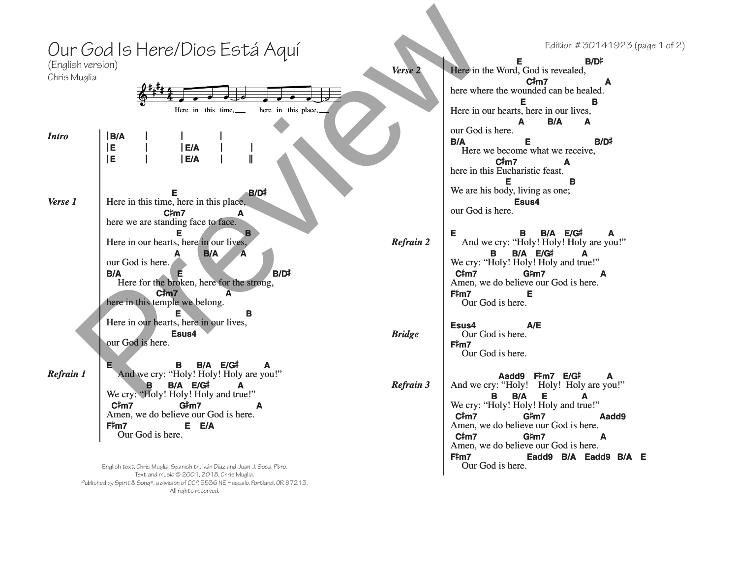| (English version)<br>Chris Muglia | Our God Is Here/Dios Está Aquí<br>here in this place,<br>Here in this time,                                                                                                                                                      | Verse 2                                  | Edition #30141923 (page 1 of 2)<br>B/D#<br>Е<br>Here in the Word, God is revealed,<br>$C\frac{1}{2}m$<br>A<br>here where the wounded can be healed.<br>Е<br>в<br>Here in our hearts, here in our lives,                                                                                                               |
|-----------------------------------|----------------------------------------------------------------------------------------------------------------------------------------------------------------------------------------------------------------------------------|------------------------------------------|-----------------------------------------------------------------------------------------------------------------------------------------------------------------------------------------------------------------------------------------------------------------------------------------------------------------------|
| <b>Intro</b>                      | B/A<br>lE.<br>E/A<br>IE.<br>E/A                                                                                                                                                                                                  | our God is here.<br><b>B/A</b>           | B/A<br>A<br>A<br>B/D#<br>Е<br>Here we become what we receive,<br>C‡m7<br>A<br>here in this Eucharistic feast.                                                                                                                                                                                                         |
| Verse 1                           | $B/D^{\ddagger}$<br>Here in this time, here in this place,<br>C#m7<br>A<br>here we are standing face to face.<br>Е                                                                                                               | our God is here.                         | Е<br>в<br>We are his body, living as one;<br>Esus4<br><b>B B/A E/G#</b><br>A                                                                                                                                                                                                                                          |
|                                   | Here in our hearts, here in our lives,<br><b>B/A</b><br>A<br>A<br>our God is here.<br>$B/D^{\ddagger}$<br>B/A<br>Here for the broken, here for the strong,<br>$C\frac{4}{3}m$<br>$\mathbf{A}$                                    | <b>Refrain 2</b><br>$C\sharp m7$<br>F‡m7 | And we cry: "Holy! Holy! Holy are you!"<br><b>B/A E/G#</b><br>B.<br>A<br>We cry: "Holy! Holy! Holy and true!"<br>G#m7<br>A<br>Amen, we do believe our God is here.<br>Е                                                                                                                                               |
|                                   | here in this temple we belong.<br>E.<br>в<br>Here in our hearts, here in our lives,<br>Esus4<br>our God is here.                                                                                                                 | Esus4<br><b>Bridge</b><br>F#m7           | Our God is here.<br>A/E<br>Our God is here.<br>Our God is here.                                                                                                                                                                                                                                                       |
| <b>Refrain 1</b>                  | B/A E/G#<br><b>B</b><br>A<br>And we cry: "Holy! Holy! Holy are you!"<br>B.<br>B/A E/G#<br>A<br>We cry: "Holy! Holy! Holy and true!"<br>C#m7<br>G#m7<br>Amen, we do believe our God is here.<br>E E/A<br>F#m7<br>Our God is here. | Refrain 3<br>$C\#m7$<br>C#m7             | Aadd9 F#m7 E/G#<br>And we cry: "Holy! Holy! Holy are you!"<br>Е<br>B/A<br>A<br>We cry: "Holy! Holy! Holy and true!"<br>G#m7<br>Aadd9<br>Amen, we do believe our God is here.<br>G#m7<br>A<br>Amen, we do believe our God is here.<br>$E_{\text{t}}^{\text{t}}$ m7 $E_{\text{c}}$ addo $E/\Lambda$ Eadol $E/\Lambda$ E |

English text, Chris Muglia; Spanish tr., Iván Díaz and Juan J. Sosa, Pbro. Text and music © 2001, 2018, Chris Muglia. Published by Spirit & Song®, a division of OCP, 5536 NE Hassalo, Portland, OR 97213. All rights reserved.